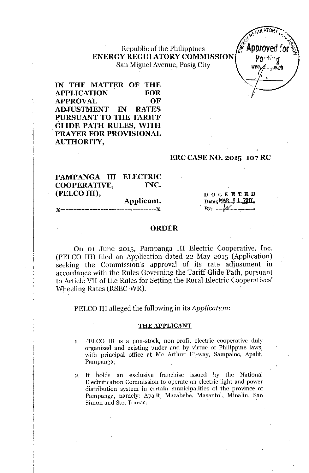## Republic of the Philippines ENERGY REGULATORY COMMISSION San Miguel Avenue, Pasig City



IN THE MATTER OF THE **APPLICATION FOR APPROVAL** OF **ADJUSTMENT** TN. **RATES** PURSUANT TO THE TARIFF **GLIDE PATH RULES, WITH** PRAYER FOR PROVISIONAL AUTHORITY,

#### **ERC CASE NO. 2015 -107 RC**

#### PAMPANGA III **ELECTRIC COOPERATIVE,** INC. (PELCO III),

#### Applicant. ...........**Y**

**DOCKETED** Date; MAR 0 1 2017  $By: M$ 

#### **ORDER**

On 01 June 2015, Pampanga III Electric Cooperative, Inc. (PELCO III) filed an Application dated 22 May 2015 (Application) seeking the Commission's approval of its rate adjustment in accordance with the Rules Governing the Tariff Glide Path, pursuant to Article VII of the Rules for Setting the Rural Electric Cooperatives' Wheeling Rates (RSEC-WR).

PELCO III alleged the following in its *Application*:

#### THE APPLICANT

PELCO III is a non-stock, non-profit electric cooperative duly  $1.$ organized and existing under and by virtue of Philippine laws, with principal office at Mc Arthur Hi-way, Sampaloc, Apalit, Pampanga;

2. It holds an exclusive franchise issued by the National Electrification Commission to operate an electric light and power distribution system in certain municipalities of the province of Pampanga, namely: Apalit, Macabebe, Masantol, Minalin, San Simon and Sto. Tomas;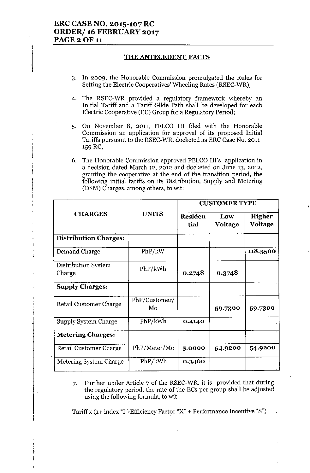1

 $\frac{1}{2}$ 

,<br>|<br>|-

I

### THE ANTECEDENT FACTS

- 3. In 2009, the Honorable Commission promulgated the Rules for Setting the Electric Cooperatives' Wheeling Rates (RSEC-WR);
- 4. The RSEC-WR provided a regulatory framework whereby an Initial Tariff and a Tariff Glide Path shall be developed for each Electric Cooperative (EC) Group for a Regulatory Period;
- 5. On November 8, 2011, PELCO III filed with the Honorable Commission an application for approval of its proposed Initial Tariffs pursuant to the RSEC-WR, docketed as ERC Case No. 2011-'59 RC;
- 6. The Honorable Commission approved PELCO Ill's application in a decision dated March 12, 2012 and docketed on June 13, 2012, granting the cooperative at the end of the transition period, the following initial tariffs on its Distribution, Supply and Metering (DSM) Charges, among others, to wit:

|                               |                     | <b>CUSTOMER TYPE</b>   |                |                          |
|-------------------------------|---------------------|------------------------|----------------|--------------------------|
| <b>CHARGES</b>                | <b>UNITS</b>        | <b>Residen</b><br>tial | Low<br>Voltage | Higher<br><b>Voltage</b> |
| <b>Distribution Charges:</b>  |                     |                        |                |                          |
| Demand Charge                 | PhP/kW              |                        |                | 118.5500                 |
| Distribution System<br>Charge | PhP/kWh             | 0.2748                 | 0.3748         |                          |
| <b>Supply Charges:</b>        |                     |                        |                |                          |
| Retail Customer Charge        | PhP/Customer/<br>Mo |                        | 59.7300        | 59.7300                  |
| Supply System Charge          | PhP/kWh             | 0.4140                 |                |                          |
| <b>Metering Charges:</b>      |                     |                        |                |                          |
| Retail Customer Charge        | PhP/Meter/Mo        | 5.0000                 | 54.9200        | 54.9200                  |
| Metering System Charge        | PhP/kWh             | 0.3460                 |                |                          |

7. Further under Article 7 of the RSEC-WR, it is provided that during the regulatory period, the rate of the ECs per group shall be adjusted using the following formula, to wit:

Tariff x  $(1+$  index "I"-Efficiency Factor "X" + Performance Incentive "S")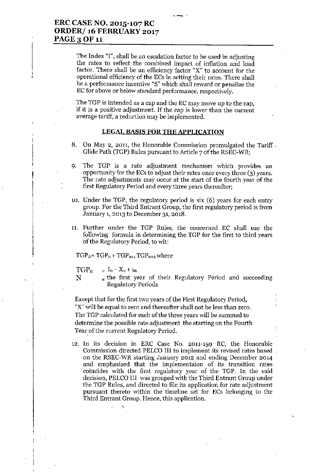The Index "I", shall be an escalation factor to be used in adjusting the rates to reflect the combined impact of inflation and load factor. There shall be an efficiency factor "X" to account for the operational efficiency of the ECs in setting their rates. There shall be a performance incentive "S" which shall reward or penalize the EC for above or below standard performance, respectively.

--.

The TGP is intended as a cap and the EC may move up to the cap, if it is a positive adjustment. If the cap is lower than the current average tariff, a reduction may be implemented.

#### LEGAL BASIS FOR THE APPLICATION

- 8. On May 2, 2011, the Honorable Commission promulgated the Tariff. Glide Path (TGP) Rules pursuant to Article 7 of the RSEC-WR;
- 9. The TGP is a rate adjustment mechanism which provides an opportunity for the ECs to adjust their rates once every three (3) years. The rate adjustments may occur at the start of the fourth year of the first Regulatory Period and every three years thereafter;
- 10. Under the TGP, the regulatory period is six (6) years for each entry group. For the Third Entrant Group, the first regulatory period is from January 1,2013 to December 31,2018.
- 11. Further under the TGP Rules, the concerned EC shall use the following formula in determining the TGP for the first to third years of the Regulatory Period, to wit:

 $TGP_A = TGP_n + TGP_{n+1}TGP_{n+2}$  where

TGP<sub>n</sub>  $= I_n - X_n + s_n$ 

N  $\equiv$  the first year of their Regulatory Period and succeeding Regulatory Periods

Except that for the first two years of the First Regulatory Period, "X" will be equal to zero and thereafter shall not be less than zero. The TGP calculated for each of the three years will be summed to determine the possible rate adjustment the starting on the Fourth Year of the current Regulatory Period.

12. In its decision in ERC Case No. 2011-159 RC, the Honorable Commission directed PELCO III to implement its revised rates based on the RSEC-WR starting January 2012 and ending December 2014 and emphasized that the implementaion of its transition rates coincides with the first regulatory year of the TGP. In the said decision, PELCO III was grouped with the Third Entrant Group under the TGP Rules, and directed to file its application for rate adjustment pursuant thereto within the timeline set for ECs belonging to the Third Entrant Group. Hence, this application.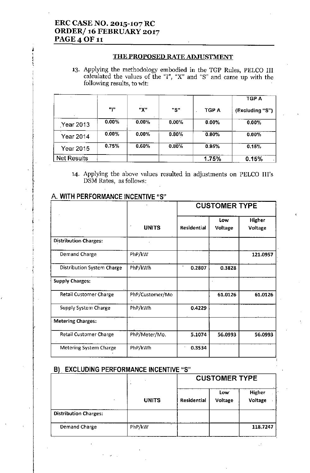i I I<br>I<br>I<br>I

—<br>|<br>|<br>| |<br>|<br>| , !<br>!<br>! , i<br>1<br>1 1<br>1 1 , , f r<br>!

I  $\left| \cdot \right|$ 

#### THE PROPOSED RATE ADJUSTMENT

'3. Applying the methodology embodied in the TGP Rules, PELCO III calculated the values of the "I", "X" and "8" and came up with the following results, to wit:

|                    |       |          |          |          | TGP A           |
|--------------------|-------|----------|----------|----------|-----------------|
|                    | ար    | "Χ"      | "S"      | TGP A    | (Excluding "S") |
| Year 2013          | 0.00% | $0.00\%$ | $0.00\%$ | $0.00\%$ | $0.00\%$        |
| Year 2014          | 0.00% | $0.00\%$ | 0.80%    | $0.80\%$ | 0.00%           |
| Year 2015          | 0.75% | 0.60%    | 0.80%    | 0.95%    | 0.15%           |
| <b>Net Results</b> |       |          |          | 1.75%    | 0.15%           |

'4. Applying the above values resulted in adjustments on PELCO III's DSM Rates, as follows:

|                                   |                 | <b>CUSTOMER TYPE</b> |                |                          |
|-----------------------------------|-----------------|----------------------|----------------|--------------------------|
|                                   | <b>UNITS</b>    | <b>Residential</b>   | Low<br>Voltage | Higher<br><b>Voltage</b> |
| <b>Distribution Charges:</b>      |                 |                      |                |                          |
| <b>Demand Charge</b>              | PhP/kW          |                      |                | 121.0957                 |
| <b>Distribution System Charge</b> | PhP/kWh         | 0.2807               | 0.3828         |                          |
| <b>Supply Charges:</b>            |                 |                      |                |                          |
| <b>Retail Customer Charge</b>     | PhP/Customer/Mo |                      | 61.0126        | 61.0126                  |
| <b>Supply System Charge</b>       | PhP/kWh         | 0.4229               |                |                          |
| <b>Metering Charges:</b>          |                 |                      |                |                          |
| <b>Retail Customer Charge</b>     | PhP/Meter/Mo.   | 5.1074               | 56.0993        | 56.0993                  |
| Metering System Charge            | PhP/kWh         | 0.3534               |                |                          |

## A. WITH PERFORMANCE INCENTIVE "S"

## B) EXCLUDING PERFORMANCE INCENTIVE "S"

|                              |        |                    | <b>CUSTOMER TYPE</b> |                   |  |  |
|------------------------------|--------|--------------------|----------------------|-------------------|--|--|
|                              | UNITS  | <b>Residential</b> | Low:<br>Voltage      | Higher<br>Voltage |  |  |
| <b>Distribution Charges:</b> |        |                    |                      |                   |  |  |
| Demand Charge                | PhP/kW | $\cdot$            |                      | 118.7247          |  |  |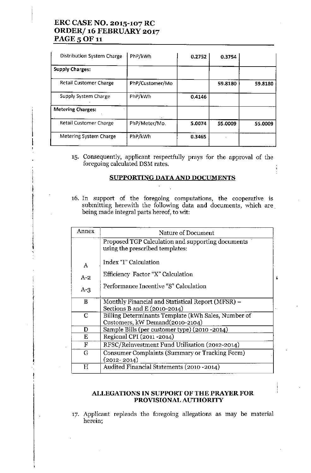## ERC CASE NO. 2015-107 RC ORDER/ 16 FEBRUARY 2017 PAGE 5 OF 11

;<br>+

—<br>I<br>I<br>I

I

 $\ddagger$ 

 $\mathbf{I}$ I f

I

| Distribution System Charge    | PhP/kWh         | 0.2752 | 0.3754  |         |
|-------------------------------|-----------------|--------|---------|---------|
| <b>Supply Charges:</b>        |                 |        |         |         |
| <b>Retail Customer Charge</b> | PhP/Customer/Mo |        | 59.8180 | 59.8180 |
| Supply System Charge          | PhP/kWh         | 0.4146 |         |         |
| <b>Metering Charges:</b>      |                 |        |         |         |
| <b>Retail Customer Charge</b> | PhP/Meter/Mo.   | 5.0074 | 55.0009 | 55.0009 |
| Metering System Charge        | PhP/kWh         | 0.3465 |         |         |

'5. Consequently, applicant respectfully prays for the approval of the foregoing calculated DSM rates.

## SUPPORTING DATAAND DOCUMENTS

16. In support of the foregoing computations, the cooperative is submitting herewith the following data and documents, which are being made integral parts hereof, to wit:

| Annex | Nature of Document                                                                   |  |
|-------|--------------------------------------------------------------------------------------|--|
|       | Proposed TGP Calculation and supporting documents<br>using the prescribed templates: |  |
| Α     | Index "I" Calculation                                                                |  |
| $A-2$ | Efficiency Factor "X" Calculation                                                    |  |
| $A-3$ | Performance Incentive "S" Calculation                                                |  |
| B     | Monthly Financial and Statistical Report (MFSR) –                                    |  |
|       | Sections B and E $(2010-2014)$                                                       |  |
| C     | Billing Determinants Template (kWh Sales, Number of                                  |  |
|       | Customers, kW Demand(2010-2104)                                                      |  |
| D     | Sample Bills (per customer type) (2010 -2014)                                        |  |
| E     | Regional CPI (2011-2014)                                                             |  |
| F     | RFSC/Reinvestment Fund Utilization (2012-2014)                                       |  |
| G     | Consumer Complaints (Summary or Tracking Form)                                       |  |
|       | $(2012 - 2014)$                                                                      |  |
| Η     | Audited Financial Statements (2010 - 2014)                                           |  |

#### ALLEGATIONS IN SUPPORT OF THE PRAYER FOR PROVISIONAL AUTHORITY

17. Applicant repleads the foregoing allegations as may be material herein;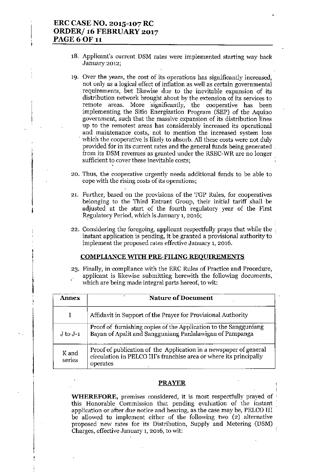, *r*

‡<br>‡

- 18. Applicant's current DSM rates were implemented starting way back January 2012;
- 19. Over the years, the cost of its operations has significantly increased, not only as a logical effect of inflation as well as certain governmental requirements, but likewise due to the inevitable expansion of its distribution network brought about by the extension of its services to remote areas. More 'significantly, the cooperative has been implementing the Sitio Energization Program (SEP) of the Aquino government, such that the massive expansion of its distribution lines up to the remotest areas has considerably increased its operational and maintenance costs, not to mention the increased system loss which the cooperative is likely to absorb. All these costs were not duly provided for in its current rates and the general funds being generated from its DSM revenues as granted under the RSEC-WR are no longer sufficient to cover these inevitable costs;
- 20. Thus, the cooperative urgently needs additional funds to be able to cope with the rising costs of its operations;
- 21. Further, based on the provisions of the TGP Rules, for cooperatives belonging to the Third Eutrant Group, their initial tariff shall be adjusted at the start of the fourth regulatory year of the First Regulatory Period, which is January 1, 2016;
- 22. Considering the foregoing, applicant respectfully prays that while the  $\epsilon$ instant application is pending, it be granted a provisional authority to tmplement the proposed rates effective January 1, 2016.

#### COMPLIANCE WITH PRE-FILING REQUIREMENTS

23. Finally, in compliance with the ERC Rules of Practice and Procedure, applicant is likewise submitting herewith the following documents, which are being made integral parts hereof, to wit:

| Annex           | <b>Nature of Document</b>                                                                                                                           |
|-----------------|-----------------------------------------------------------------------------------------------------------------------------------------------------|
|                 | Affidavit in Support of the Prayer for Provisional Authority                                                                                        |
| $J$ to $J-1$    | Proof of furnishing copies of the Application to the Sangguniang<br>Bayan of Apalit and Sangguniang Panlalawigan of Pampanga                        |
| K and<br>series | Proof of publication of the Application in a newspaper of general<br>circulation in PELCO III's franchise area or where its principally<br>operates |

#### **PRAYER**

i **WHEREFORE,** premises considered, it is most respectfully prayed of ( this Honorable Commission that pending evaluation of the instant application or after due notice and hearing, as the case may be, PELCO III be allowed to implement either of the following two  $(2)$  alternative proposed new rates for its Distribution, Supply and Metering (DSM) Charges, effective January 1, 2016, to wit: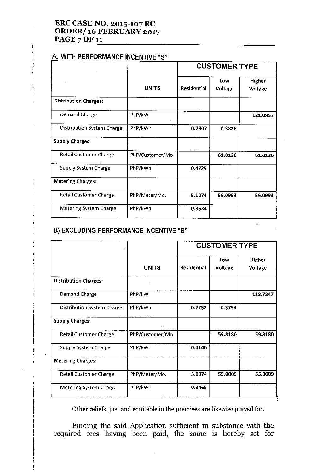## ERC CASE NO. 2015-107 RC ORDER/ 16 FEBRUARY 2017 PAGE 7 OF 11

# A. WITH PERFORMANCE INCENTIVE "5"

 $\vdots$ 

3

|                                   | <b>UNITS</b>    | <b>CUSTOMER TYPE</b> |                |                   |
|-----------------------------------|-----------------|----------------------|----------------|-------------------|
|                                   |                 | Residential          | Low<br>Voltage | Higher<br>Voltage |
| <b>Distribution Charges:</b>      |                 |                      |                |                   |
| Demand Charge                     | PhP/kW          |                      |                | 121.0957          |
| <b>Distribution System Charge</b> | PhP/kWh         | 0.2807               | 0.3828         |                   |
| <b>Supply Charges:</b>            |                 |                      |                |                   |
| <b>Retail Customer Charge</b>     | PhP/Customer/Mo |                      | 61.0126        | 61.0126           |
| Supply System Charge              | PhP/kWh         | 0.4229               |                |                   |
| <b>Metering Charges:</b>          |                 |                      |                |                   |
| <b>Retail Customer Charge</b>     | PhP/Meter/Mo.   | 5.1074               | 56.0993        | 56.0993           |
| <b>Metering System Charge</b>     | PhP/kWh         | 0.3534               |                |                   |

# B) EXCLUDING PERFORMANCE INCENTIVE "5"

|                               |                 | <b>CUSTOMER TYPE</b> |                |                   |
|-------------------------------|-----------------|----------------------|----------------|-------------------|
|                               | <b>UNITS</b>    | <b>Residential</b>   | Low<br>Voltage | Higher<br>Voltage |
| <b>Distribution Charges:</b>  |                 |                      |                |                   |
| Demand Charge                 | PhP/kW          |                      |                | 118.7247          |
| Distribution System Charge    | PhP/kWh         | 0.2752               | 0.3754         |                   |
| <b>Supply Charges:</b>        |                 |                      |                |                   |
| <b>Retail Customer Charge</b> | PhP/Customer/Mo |                      | 59.8180        | 59.8180           |
| Supply System Charge          | PhP/kWh         | 0.4146               |                |                   |
| <b>Metering Charges:</b>      |                 |                      |                |                   |
| <b>Retail Customer Charge</b> | PhP/Meter/Mo.   | 5.0074               | 55.0009        | 55.0009           |
| Metering System Charge        | PhP/kWh         | 0.3465               |                |                   |

Other reliefs, just and equitable in the premises are likewise prayed for.

Finding the said Application sufficient in substance with the required fees having been paid, the same is hereby set for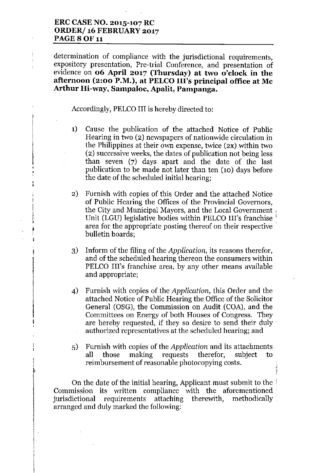## **ERCCASENO. 2015-107 RC ORDER/ 16 FEBRUARY 2017** PAGE 8 OF 11

 $\frac{1}{2}$  $\frac{1}{2}$  determination of compliance with the jurisdictional requirements, expository presentation, Pre-trial Conference, and presentation of evidence on **06 April 2017 (Thursday) at two o'clock in the afternoon (2:00 P.M.), at PELCOIll's principal office at Mc Arthur Hi-way, Sampaloc, Apalit, Pampanga.**

Accordingly, PELCO III is hereby directed to:

- 1) Cause the publication of the attached Notice of Public Hearing in two (2) newspapers of nationwide circulation in the Philippines at their own expense, twice (2X) within two (2) successive weeks, the dates of publication not being less than seven (7) days apart and the date of the last publication to be made not later than ten (10) days before the date of the scheduled initial hearing;
- 2) Furnish with copies of this Order and the attached Notice of Public Hearing the Offices of the Provincial Governors, the City and Municipal Mayors, and the Local Government. Unit (LGU) legislative bodies within PELCO III's franchise area for the appropriate posting thereof on their respective bulletin boards;
- 3) Inform of the filing of the *Application,* its reasons therefor, and of the scheduled hearing thereon the consumers within PELCO Ill's franchise area, by any other means available and appropriate;
- 4) Furnish with copies of the *Application,* this Order and the attached Notice of Public Hearing the Office of the Solicitor General (OSG), the Commission on Audit (COA), and the Committees on Energy of both Houses of Congress. They are hereby requested, if they so desire to send their duly authorized representatives at the scheduled hearing; and
- 5) Furnish with copies of the *Application* and its attachments all those making requests therefor, subject to reimbursement of reasonable photocopying costs.

 $\ddot{\ddot{\phantom{1}}}$ t

On the date of the initial hearing, Applicant must submit to the  $\dagger$ Commission its written compliance with the aforementioned' jurisdictional requirements attaching therewith, methodically, arranged and duly marked the following: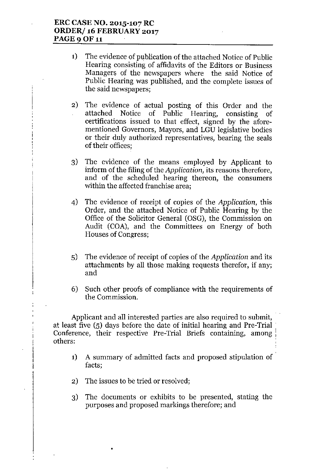## **ERC CASE NO. 2015-107 RC ORDER/ 16 FEBRUARY 2017 PAGE 9 OF 11**

- 1) The evidence of publication of the attached Notice of Public Hearing consisting of affidavits of the Editors or Business Managers of the newspapers where the said Notice of Public Hearing was published, and the complete issues of the said newspapers;
- 2) The evidence of actual posting of this Order and the attached Notice of Public Hearing, consisting of certifications issued to that effect, signed by the aforementioned Governors, Mayors, and LGU legislative bodies or their duly authorized representatives, bearing the seals of their offices;
- 3) The evidence of the means employed by Applicant to inform of the filing of the *Application,* its reasons therefore, and of the scheduled hearing thereon, the consumers within the affected franchise area;
- 4) The evidence of receipt of copies of the *Application,* this Order, and the attached Notice of Public Hearing by the Office of the Solicitor General (OSG), the Commission on Audit (COA), and the Committees on Energy of both Houses of Congress;
- 5) The evidence of receipt of copies of the *Application* and its attachments by all those making requests therefor, if any; and
- 6) Such other proofs of compliance with the requirements of the Commission.

Applicant and all interested parties are also required *to* submit, at least five (5) days before the date of initial hearing and Pre-Trial Conference, their respective Pre-Trial Briefs containing, among: others:

- 1) A summary of admitted facts and proposed stipulation of facts;
- 2) The issues to be tried or resolved;

•

3) The documents or exhibits to be presented, stating the purposes and proposed markings therefore; and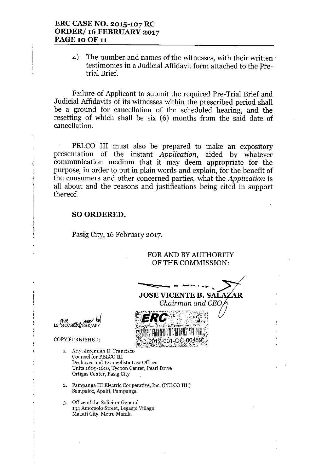## ERC CASE NO. 2015-107 RC ORDER/16 FEBRUARY 2017 **PAGE 10 OF 11**

 $\Delta$ The number and names of the witnesses, with their written testimonies in a Judicial Affidavit form attached to the Pretrial Brief.

Failure of Applicant to submit the required Pre-Trial Brief and Judicial Affidavits of its witnesses within the prescribed period shall be a ground for cancellation of the scheduled hearing, and the resetting of which shall be six (6) months from the said date of cancellation.

PELCO III must also be prepared to make an expository presentation of the instant Application, aided by whatever communication medium that it may deem appropriate for the purpose, in order to put in plain words and explain, for the benefit of the consumers and other concerned parties, what the Application is all about and the reasons and justifications being cited in support thereof.

### **SO ORDERED.**

Pasig City, 16 February 2017.

FOR AND BY AUTHORITY OF THE COMMISSION:

Chairman and CEO

ZAR

**JOSE VICENTE B. SAI** 

**NCC/ARCTPAR/AL** 

COPY FURNISHED:

- 1. Atty. Jeremiah D. Francisco Counsel for PELCO III Dechaves and Evangelista Law Offices Units 1609-1610, Tycoon Center, Pearl Drive Ortigas Center, Pasig City
- 2. Pampanga III Electric Cooperative, Inc. (PELCO III) Sampaloc, Apalit, Pampanga
- 3. Office of the Solicitor General 134 Amorsolo Street, Legaspi Village Makati City, Metro Manila